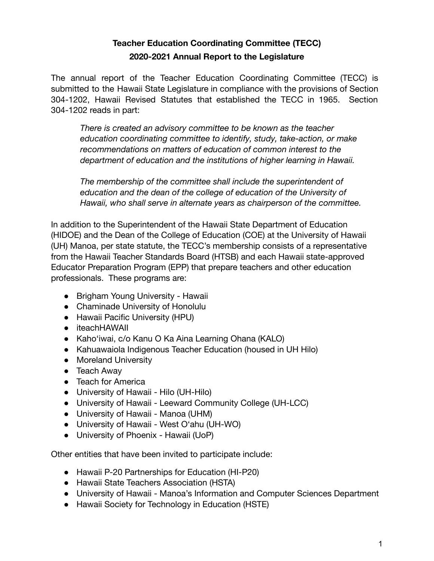# **Teacher Education Coordinating Committee (TECC) 2020-2021 Annual Report to the Legislature**

The annual report of the Teacher Education Coordinating Committee (TECC) is submitted to the Hawaii State Legislature in compliance with the provisions of Section 304-1202, Hawaii Revised Statutes that established the TECC in 1965. Section 304-1202 reads in part:

*There is created an advisory committee to be known as the teacher education coordinating committee to identify, study, take-action, or make recommendations on matters of education of common interest to the department of education and the institutions of higher learning in Hawaii.*

*The membership of the committee shall include the superintendent of education and the dean of the college of education of the University of Hawaii, who shall serve in alternate years as chairperson of the committee.*

In addition to the Superintendent of the Hawaii State Department of Education (HIDOE) and the Dean of the College of Education (COE) at the University of Hawaii (UH) Manoa, per state statute, the TECC's membership consists of a representative from the Hawaii Teacher Standards Board (HTSB) and each Hawaii state-approved Educator Preparation Program (EPP) that prepare teachers and other education professionals. These programs are:

- Brigham Young University Hawaii
- Chaminade University of Honolulu
- Hawaii Pacific University (HPU)
- iteachHAWAII
- Kaho'iwai, c/o Kanu O Ka Aina Learning Ohana (KALO)
- Kahuawaiola Indigenous Teacher Education (housed in UH Hilo)
- Moreland University
- Teach Away
- Teach for America
- University of Hawaii Hilo (UH-Hilo)
- University of Hawaii Leeward Community College (UH-LCC)
- University of Hawaii Manoa (UHM)
- University of Hawaii West O'ahu (UH-WO)
- University of Phoenix Hawaii (UoP)

Other entities that have been invited to participate include:

- Hawaii P-20 Partnerships for Education (HI-P20)
- Hawaii State Teachers Association (HSTA)
- University of Hawaii Manoa's Information and Computer Sciences Department
- Hawaii Society for Technology in Education (HSTE)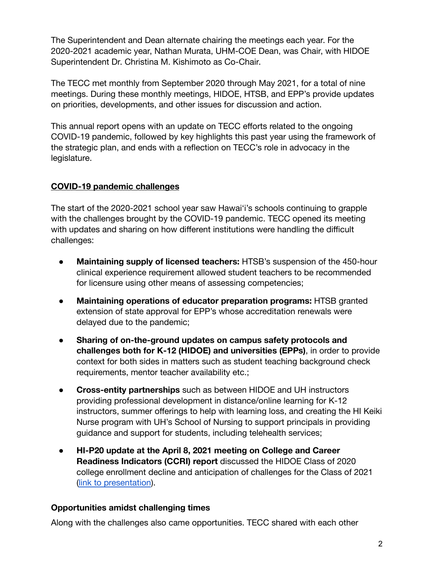The Superintendent and Dean alternate chairing the meetings each year. For the 2020-2021 academic year, Nathan Murata, UHM-COE Dean, was Chair, with HIDOE Superintendent Dr. Christina M. Kishimoto as Co-Chair.

The TECC met monthly from September 2020 through May 2021, for a total of nine meetings. During these monthly meetings, HIDOE, HTSB, and EPP's provide updates on priorities, developments, and other issues for discussion and action.

This annual report opens with an update on TECC efforts related to the ongoing COVID-19 pandemic, followed by key highlights this past year using the framework of the strategic plan, and ends with a reflection on TECC's role in advocacy in the legislature.

# **COVID-19 pandemic challenges**

The start of the 2020-2021 school year saw Hawai'i's schools continuing to grapple with the challenges brought by the COVID-19 pandemic. TECC opened its meeting with updates and sharing on how different institutions were handling the difficult challenges:

- **Maintaining supply of licensed teachers:** HTSB's suspension of the 450-hour clinical experience requirement allowed student teachers to be recommended for licensure using other means of assessing competencies;
- **Maintaining operations of educator preparation programs:** HTSB granted extension of state approval for EPP's whose accreditation renewals were delayed due to the pandemic;
- **Sharing of on-the-ground updates on campus safety protocols and challenges both for K-12 (HIDOE) and universities (EPPs)**, in order to provide context for both sides in matters such as student teaching background check requirements, mentor teacher availability etc.;
- **Cross-entity partnerships** such as between HIDOE and UH instructors providing professional development in distance/online learning for K-12 instructors, summer offerings to help with learning loss, and creating the HI Keiki Nurse program with UH's School of Nursing to support principals in providing guidance and support for students, including telehealth services;
- **HI-P20 update at the April 8, 2021 meeting on College and Career Readiness Indicators (CCRI) report** discussed the HIDOE Class of 2020 college enrollment decline and anticipation of challenges for the Class of 2021 [\(link to presentation](https://docs.google.com/presentation/d/1-shBxUS5WiAwpD5RkDM8YEw12p7YZoDcGwyDID2yGBE/edit?usp=sharing)).

### **Opportunities amidst challenging times**

Along with the challenges also came opportunities. TECC shared with each other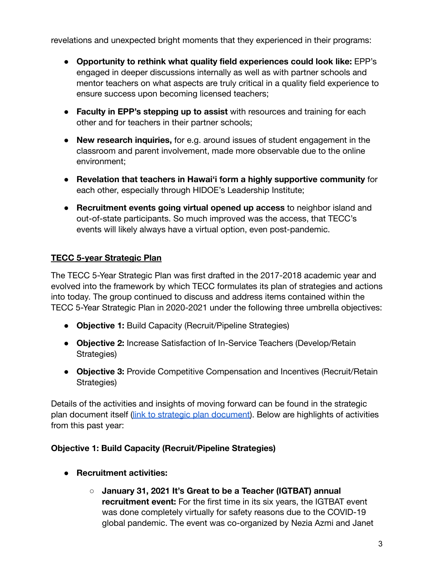revelations and unexpected bright moments that they experienced in their programs:

- **● Opportunity to rethink what quality field experiences could look like:** EPP's engaged in deeper discussions internally as well as with partner schools and mentor teachers on what aspects are truly critical in a quality field experience to ensure success upon becoming licensed teachers;
- **● Faculty in EPP's stepping up to assist** with resources and training for each other and for teachers in their partner schools;
- **● New research inquiries,** for e.g. around issues of student engagement in the classroom and parent involvement, made more observable due to the online environment;
- **● Revelation that teachers in Hawai'i form a highly supportive community** for each other, especially through HIDOE's Leadership Institute;
- **● Recruitment events going virtual opened up access** to neighbor island and out-of-state participants. So much improved was the access, that TECC's events will likely always have a virtual option, even post-pandemic.

# **TECC 5-year Strategic Plan**

The TECC 5-Year Strategic Plan was first drafted in the 2017-2018 academic year and evolved into the framework by which TECC formulates its plan of strategies and actions into today. The group continued to discuss and address items contained within the TECC 5-Year Strategic Plan in 2020-2021 under the following three umbrella objectives:

- **Objective 1:** Build Capacity (Recruit/Pipeline Strategies)
- **Objective 2:** Increase Satisfaction of In-Service Teachers (Develop/Retain Strategies)
- **Objective 3:** Provide Competitive Compensation and Incentives (Recruit/Retain Strategies)

Details of the activities and insights of moving forward can be found in the strategic plan document itself [\(link to strategic plan document\)](https://docs.google.com/document/d/1Dg0Jl9mAQGCYRuTywNoNc-x0ADDyvJ5lZRf9bWVJJAY/edit?usp=sharing). Below are highlights of activities from this past year:

### **Objective 1: Build Capacity (Recruit/Pipeline Strategies)**

- **Recruitment activities:**
	- **January 31, 2021 It's Great to be a Teacher (IGTBAT) annual recruitment event:** For the first time in its six years, the IGTBAT event was done completely virtually for safety reasons due to the COVID-19 global pandemic. The event was co-organized by Nezia Azmi and Janet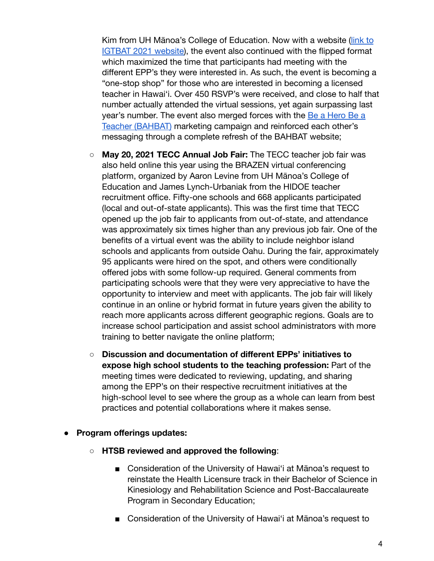Kim from UH Mānoa's College of Education. Now with a website [\(link to](https://sites.google.com/hawaii.edu/igtbat-hawaii/) [IGTBAT 2021 website\)](https://sites.google.com/hawaii.edu/igtbat-hawaii/), the event also continued with the flipped format which maximized the time that participants had meeting with the different EPP's they were interested in. As such, the event is becoming a "one-stop shop" for those who are interested in becoming a licensed teacher in Hawai'i. Over 450 RSVP's were received, and close to half that number actually attended the virtual sessions, yet again surpassing last year's number. The event also merged forces with the [Be a Hero Be a](https://coe.hawaii.edu/teacherhero/) [Teacher \(BAHBAT\)](https://coe.hawaii.edu/teacherhero/) marketing campaign and reinforced each other's messaging through a complete refresh of the BAHBAT website;

- **May 20, 2021 TECC Annual Job Fair:** The TECC teacher job fair was also held online this year using the BRAZEN virtual conferencing platform, organized by Aaron Levine from UH Mānoa's College of Education and James Lynch-Urbaniak from the HIDOE teacher recruitment office. Fifty-one schools and 668 applicants participated (local and out-of-state applicants). This was the first time that TECC opened up the job fair to applicants from out-of-state, and attendance was approximately six times higher than any previous job fair. One of the benefits of a virtual event was the ability to include neighbor island schools and applicants from outside Oahu. During the fair, approximately 95 applicants were hired on the spot, and others were conditionally offered jobs with some follow-up required. General comments from participating schools were that they were very appreciative to have the opportunity to interview and meet with applicants. The job fair will likely continue in an online or hybrid format in future years given the ability to reach more applicants across different geographic regions. Goals are to increase school participation and assist school administrators with more training to better navigate the online platform;
- **Discussion and documentation of different EPPs' initiatives to expose high school students to the teaching profession:** Part of the meeting times were dedicated to reviewing, updating, and sharing among the EPP's on their respective recruitment initiatives at the high-school level to see where the group as a whole can learn from best practices and potential collaborations where it makes sense.
- **● Program offerings updates:**
	- **HTSB reviewed and approved the following**:
		- Consideration of the University of Hawai'i at Mānoa's request to reinstate the Health Licensure track in their Bachelor of Science in Kinesiology and Rehabilitation Science and Post-Baccalaureate Program in Secondary Education;
		- Consideration of the University of Hawai'i at Mānoa's request to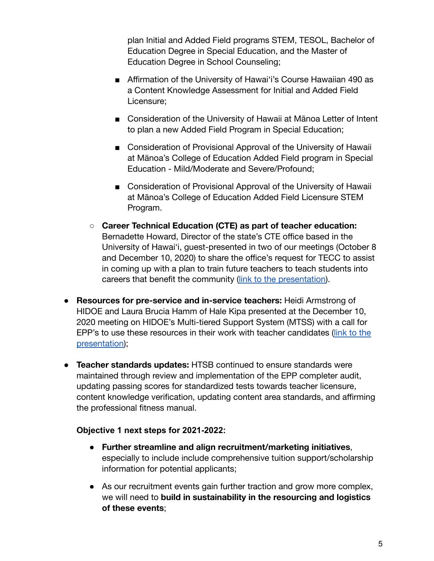plan Initial and Added Field programs STEM, TESOL, Bachelor of Education Degree in Special Education, and the Master of Education Degree in School Counseling;

- Affirmation of the University of Hawai'i's Course Hawaiian 490 as a Content Knowledge Assessment for Initial and Added Field Licensure;
- Consideration of the University of Hawaii at Mānoa Letter of Intent to plan a new Added Field Program in Special Education;
- Consideration of Provisional Approval of the University of Hawaii at Mānoa's College of Education Added Field program in Special Education - Mild/Moderate and Severe/Profound;
- Consideration of Provisional Approval of the University of Hawaii at Mānoa's College of Education Added Field Licensure STEM Program.
- **Career Technical Education (CTE) as part of teacher education:** Bernadette Howard, Director of the state's CTE office based in the University of Hawai'i, guest-presented in two of our meetings (October 8 and December 10, 2020) to share the office's request for TECC to assist in coming up with a plan to train future teachers to teach students into careers that benefit the community [\(link to the presentation\)](https://docs.google.com/presentation/d/1gFztYs-7pY484ouUAVMovz7FVXEDsWwuklZt6cCTv2g/edit?usp=sharing).
- **● Resources for pre-service and in-service teachers:** Heidi Armstrong of HIDOE and Laura Brucia Hamm of Hale Kipa presented at the December 10, 2020 meeting on HIDOE's Multi-tiered Support System (MTSS) with a call for EPP's to use these resources in their work with teacher candidates [\(link to the](https://docs.google.com/presentation/d/1dQQxx6Yr-IVrqE-MaSK6UuHb1PU8KhkGt4MAE_B1gDM/edit?usp=sharing) [presentation\)](https://docs.google.com/presentation/d/1dQQxx6Yr-IVrqE-MaSK6UuHb1PU8KhkGt4MAE_B1gDM/edit?usp=sharing);
- **● Teacher standards updates:** HTSB continued to ensure standards were maintained through review and implementation of the EPP completer audit, updating passing scores for standardized tests towards teacher licensure, content knowledge verification, updating content area standards, and affirming the professional fitness manual.

### **Objective 1 next steps for 2021-2022:**

- **● Further streamline and align recruitment/marketing initiatives**, especially to include include comprehensive tuition support/scholarship information for potential applicants;
- **●** As our recruitment events gain further traction and grow more complex, we will need to **build in sustainability in the resourcing and logistics of these events**;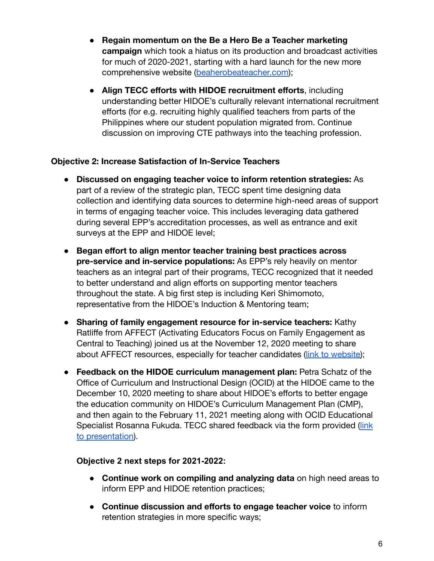- **● Regain momentum on the Be a Hero Be a Teacher marketing campaign** which took a hiatus on its production and broadcast activities for much of 2020-2021, starting with a hard launch for the new more comprehensive website ([beaherobeateacher.com](https://coe.hawaii.edu/teacherhero/));
- **Align TECC efforts with HIDOE recruitment efforts**, including understanding better HIDOE's culturally relevant international recruitment efforts (for e.g. recruiting highly qualified teachers from parts of the Philippines where our student population migrated from. Continue discussion on improving CTE pathways into the teaching profession.

### **Objective 2: Increase Satisfaction of In-Service Teachers**

- **Discussed on engaging teacher voice to inform retention strategies:** As part of a review of the strategic plan, TECC spent time designing data collection and identifying data sources to determine high-need areas of support in terms of engaging teacher voice. This includes leveraging data gathered during several EPP's accreditation processes, as well as entrance and exit surveys at the EPP and HIDOE level;
- **Began effort to align mentor teacher training best practices across pre-service and in-service populations:** As EPP's rely heavily on mentor teachers as an integral part of their programs, TECC recognized that it needed to better understand and align efforts on supporting mentor teachers throughout the state. A big first step is including Keri Shimomoto, representative from the HIDOE's Induction & Mentoring team;
- **Sharing of family engagement resource for in-service teachers:** Kathy Ratliffe from AFFECT (Activating Educators Focus on Family Engagement as Central to Teaching) joined us at the November 12, 2020 meeting to share about AFFECT resources, especially for teacher candidates ([link to website\)](https://affect.coe.hawaii.edu/);
- **Feedback on the HIDOE curriculum management plan:** Petra Schatz of the Office of Curriculum and Instructional Design (OCID) at the HIDOE came to the December 10, 2020 meeting to share about HIDOE's efforts to better engage the education community on HIDOE's Curriculum Management Plan (CMP), and then again to the February 11, 2021 meeting along with OCID Educational Specialist Rosanna Fukuda. TECC shared feedback via the form provided [\(link](https://docs.google.com/presentation/d/1QTIqirE44BBC7qdqCWtK8e7ihKOmY2tKFkhV44Gb1DQ/edit?usp=sharing) [to presentation\)](https://docs.google.com/presentation/d/1QTIqirE44BBC7qdqCWtK8e7ihKOmY2tKFkhV44Gb1DQ/edit?usp=sharing).

### **Objective 2 next steps for 2021-2022:**

- **Continue work on compiling and analyzing data** on high need areas to inform EPP and HIDOE retention practices;
- **Continue discussion and efforts to engage teacher voice** to inform retention strategies in more specific ways;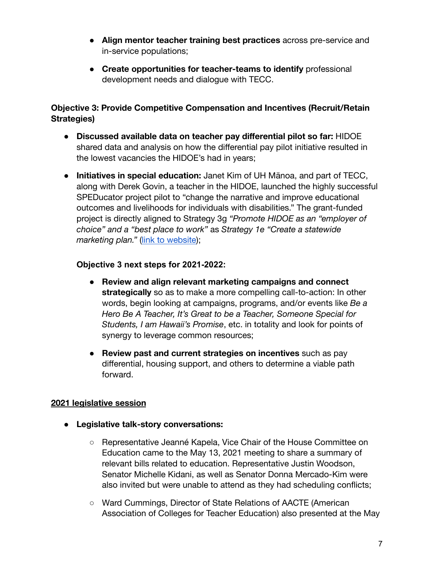- **Align mentor teacher training best practices** across pre-service and in-service populations;
- **Create opportunities for teacher-teams to identify** professional development needs and dialogue with TECC.

# **Objective 3: Provide Competitive Compensation and Incentives (Recruit/Retain Strategies)**

- **Discussed available data on teacher pay differential pilot so far:** HIDOE shared data and analysis on how the differential pay pilot initiative resulted in the lowest vacancies the HIDOE's had in years;
- **Initiatives in special education:** Janet Kim of UH Mānoa, and part of TECC, along with Derek Govin, a teacher in the HIDOE, launched the highly successful SPEDucator project pilot to "change the narrative and improve educational outcomes and livelihoods for individuals with disabilities." The grant-funded project is directly aligned to Strategy 3g *"Promote HIDOE as an "employer of choice" and a "best place to work"* as *Strategy 1e "Create a statewide marketing plan."* [\(link to website\)](https://sites.google.com/hawaii.edu/the-speducator-project);

# **Objective 3 next steps for 2021-2022:**

- **Review and align relevant marketing campaigns and connect strategically** so as to make a more compelling call-to-action: In other words, begin looking at campaigns, programs, and/or events like *Be a Hero Be A Teacher, It's Great to be a Teacher, Someone Special for Students, I am Hawaii's Promise*, etc. in totality and look for points of synergy to leverage common resources;
- **Review past and current strategies on incentives** such as pay differential, housing support, and others to determine a viable path forward.

### **2021 legislative session**

- **Legislative talk-story conversations:**
	- Representative Jeanné Kapela, Vice Chair of the House Committee on Education came to the May 13, 2021 meeting to share a summary of relevant bills related to education. Representative Justin Woodson, Senator Michelle Kidani, as well as Senator Donna Mercado-Kim were also invited but were unable to attend as they had scheduling conflicts;
	- Ward Cummings, Director of State Relations of AACTE (American Association of Colleges for Teacher Education) also presented at the May